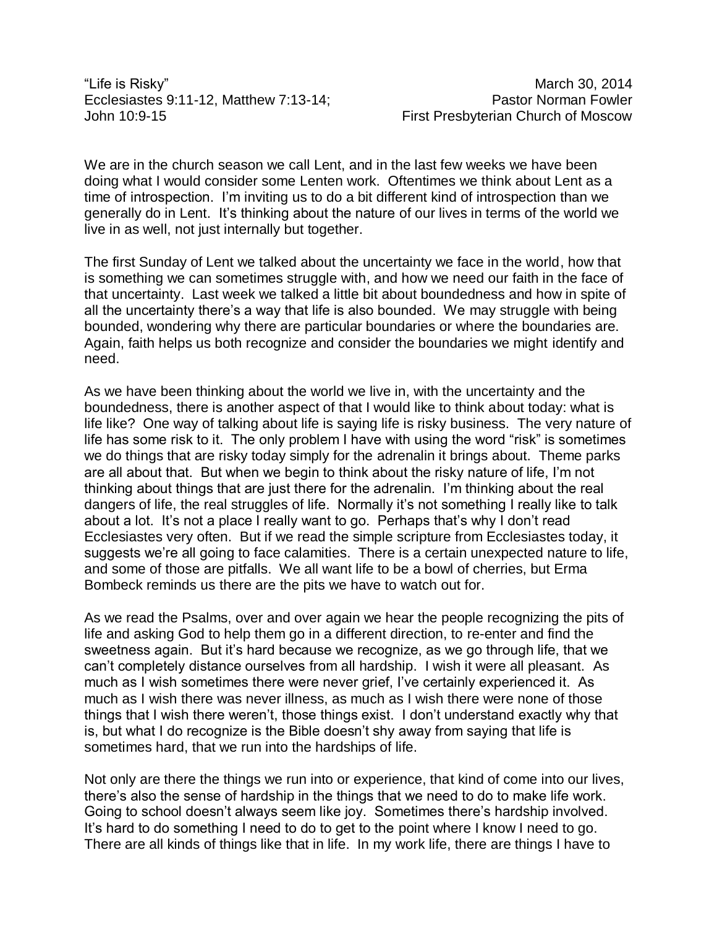"Life is Risky" March 30, 2014 Ecclesiastes 9:11-12, Matthew 7:13-14; Pastor Norman Fowler John 10:9-15 First Presbyterian Church of Moscow

We are in the church season we call Lent, and in the last few weeks we have been doing what I would consider some Lenten work. Oftentimes we think about Lent as a time of introspection. I'm inviting us to do a bit different kind of introspection than we generally do in Lent. It's thinking about the nature of our lives in terms of the world we live in as well, not just internally but together.

The first Sunday of Lent we talked about the uncertainty we face in the world, how that is something we can sometimes struggle with, and how we need our faith in the face of that uncertainty. Last week we talked a little bit about boundedness and how in spite of all the uncertainty there's a way that life is also bounded. We may struggle with being bounded, wondering why there are particular boundaries or where the boundaries are. Again, faith helps us both recognize and consider the boundaries we might identify and need.

As we have been thinking about the world we live in, with the uncertainty and the boundedness, there is another aspect of that I would like to think about today: what is life like? One way of talking about life is saying life is risky business. The very nature of life has some risk to it. The only problem I have with using the word "risk" is sometimes we do things that are risky today simply for the adrenalin it brings about. Theme parks are all about that. But when we begin to think about the risky nature of life, I'm not thinking about things that are just there for the adrenalin. I'm thinking about the real dangers of life, the real struggles of life. Normally it's not something I really like to talk about a lot. It's not a place I really want to go. Perhaps that's why I don't read Ecclesiastes very often. But if we read the simple scripture from Ecclesiastes today, it suggests we're all going to face calamities. There is a certain unexpected nature to life, and some of those are pitfalls. We all want life to be a bowl of cherries, but Erma Bombeck reminds us there are the pits we have to watch out for.

As we read the Psalms, over and over again we hear the people recognizing the pits of life and asking God to help them go in a different direction, to re-enter and find the sweetness again. But it's hard because we recognize, as we go through life, that we can't completely distance ourselves from all hardship. I wish it were all pleasant. As much as I wish sometimes there were never grief, I've certainly experienced it. As much as I wish there was never illness, as much as I wish there were none of those things that I wish there weren't, those things exist. I don't understand exactly why that is, but what I do recognize is the Bible doesn't shy away from saying that life is sometimes hard, that we run into the hardships of life.

Not only are there the things we run into or experience, that kind of come into our lives, there's also the sense of hardship in the things that we need to do to make life work. Going to school doesn't always seem like joy. Sometimes there's hardship involved. It's hard to do something I need to do to get to the point where I know I need to go. There are all kinds of things like that in life. In my work life, there are things I have to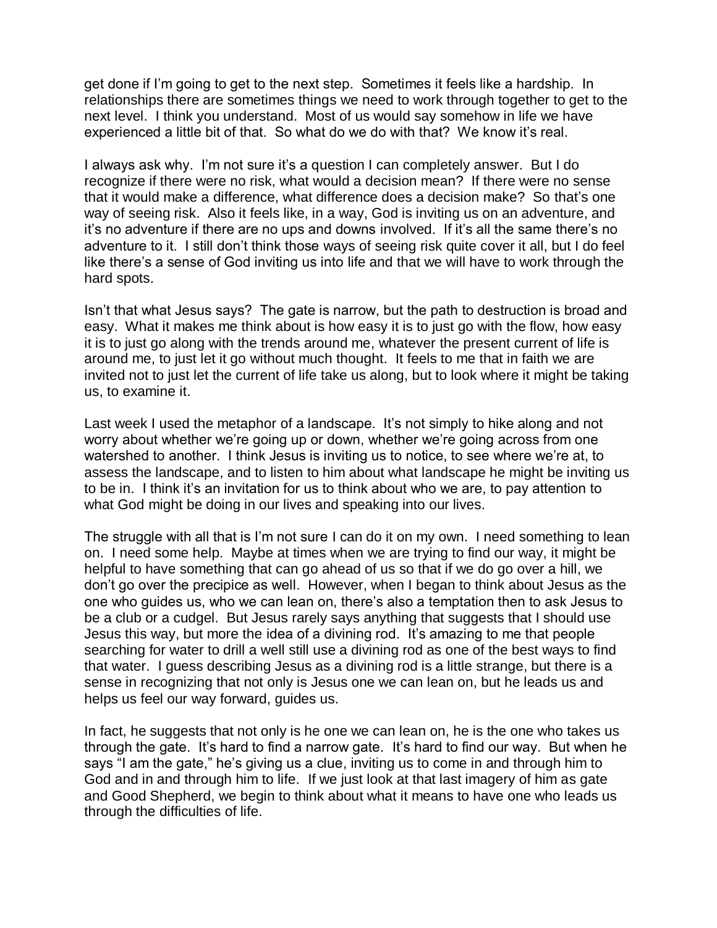get done if I'm going to get to the next step. Sometimes it feels like a hardship. In relationships there are sometimes things we need to work through together to get to the next level. I think you understand. Most of us would say somehow in life we have experienced a little bit of that. So what do we do with that? We know it's real.

I always ask why. I'm not sure it's a question I can completely answer. But I do recognize if there were no risk, what would a decision mean? If there were no sense that it would make a difference, what difference does a decision make? So that's one way of seeing risk. Also it feels like, in a way, God is inviting us on an adventure, and it's no adventure if there are no ups and downs involved. If it's all the same there's no adventure to it. I still don't think those ways of seeing risk quite cover it all, but I do feel like there's a sense of God inviting us into life and that we will have to work through the hard spots.

Isn't that what Jesus says? The gate is narrow, but the path to destruction is broad and easy. What it makes me think about is how easy it is to just go with the flow, how easy it is to just go along with the trends around me, whatever the present current of life is around me, to just let it go without much thought. It feels to me that in faith we are invited not to just let the current of life take us along, but to look where it might be taking us, to examine it.

Last week I used the metaphor of a landscape. It's not simply to hike along and not worry about whether we're going up or down, whether we're going across from one watershed to another. I think Jesus is inviting us to notice, to see where we're at, to assess the landscape, and to listen to him about what landscape he might be inviting us to be in. I think it's an invitation for us to think about who we are, to pay attention to what God might be doing in our lives and speaking into our lives.

The struggle with all that is I'm not sure I can do it on my own. I need something to lean on. I need some help. Maybe at times when we are trying to find our way, it might be helpful to have something that can go ahead of us so that if we do go over a hill, we don't go over the precipice as well. However, when I began to think about Jesus as the one who guides us, who we can lean on, there's also a temptation then to ask Jesus to be a club or a cudgel. But Jesus rarely says anything that suggests that I should use Jesus this way, but more the idea of a divining rod. It's amazing to me that people searching for water to drill a well still use a divining rod as one of the best ways to find that water. I guess describing Jesus as a divining rod is a little strange, but there is a sense in recognizing that not only is Jesus one we can lean on, but he leads us and helps us feel our way forward, guides us.

In fact, he suggests that not only is he one we can lean on, he is the one who takes us through the gate. It's hard to find a narrow gate. It's hard to find our way. But when he says "I am the gate," he's giving us a clue, inviting us to come in and through him to God and in and through him to life. If we just look at that last imagery of him as gate and Good Shepherd, we begin to think about what it means to have one who leads us through the difficulties of life.